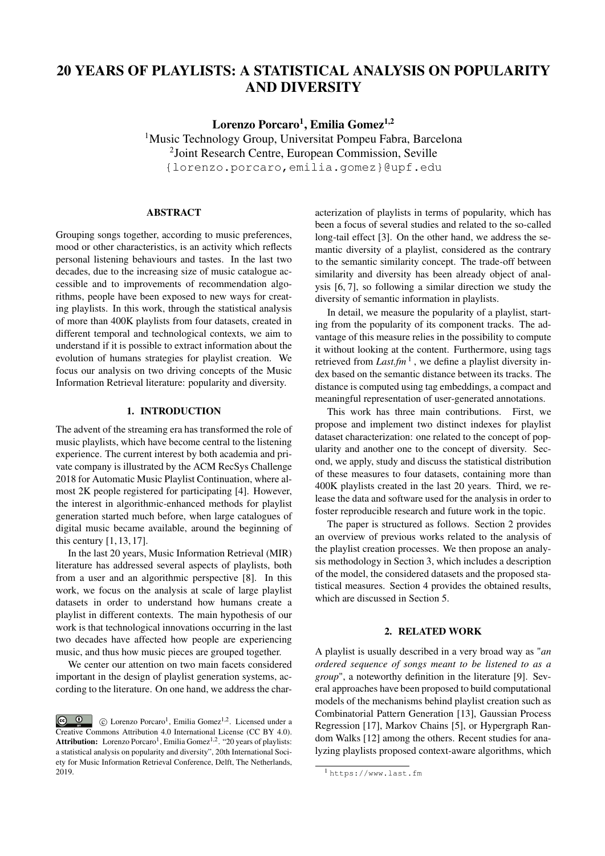# 20 YEARS OF PLAYLISTS: A STATISTICAL ANALYSIS ON POPULARITY AND DIVERSITY

Lorenzo Porcaro<sup>1</sup>, Emilia Gomez<sup>1,2</sup>

<sup>1</sup>Music Technology Group, Universitat Pompeu Fabra, Barcelona 2 Joint Research Centre, European Commission, Seville

{lorenzo.porcaro,emilia.gomez}@upf.edu

# ABSTRACT

Grouping songs together, according to music preferences, mood or other characteristics, is an activity which reflects personal listening behaviours and tastes. In the last two decades, due to the increasing size of music catalogue accessible and to improvements of recommendation algorithms, people have been exposed to new ways for creating playlists. In this work, through the statistical analysis of more than 400K playlists from four datasets, created in different temporal and technological contexts, we aim to understand if it is possible to extract information about the evolution of humans strategies for playlist creation. We focus our analysis on two driving concepts of the Music Information Retrieval literature: popularity and diversity.

### 1. INTRODUCTION

The advent of the streaming era has transformed the role of music playlists, which have become central to the listening experience. The current interest by both academia and private company is illustrated by the ACM RecSys Challenge 2018 for Automatic Music Playlist Continuation, where almost 2K people registered for participating [4]. However, the interest in algorithmic-enhanced methods for playlist generation started much before, when large catalogues of digital music became available, around the beginning of this century [1, 13, 17].

In the last 20 years, Music Information Retrieval (MIR) literature has addressed several aspects of playlists, both from a user and an algorithmic perspective [8]. In this work, we focus on the analysis at scale of large playlist datasets in order to understand how humans create a playlist in different contexts. The main hypothesis of our work is that technological innovations occurring in the last two decades have affected how people are experiencing music, and thus how music pieces are grouped together.

We center our attention on two main facets considered important in the design of playlist generation systems, according to the literature. On one hand, we address the characterization of playlists in terms of popularity, which has been a focus of several studies and related to the so-called long-tail effect [3]. On the other hand, we address the semantic diversity of a playlist, considered as the contrary to the semantic similarity concept. The trade-off between similarity and diversity has been already object of analysis [6, 7], so following a similar direction we study the diversity of semantic information in playlists.

In detail, we measure the popularity of a playlist, starting from the popularity of its component tracks. The advantage of this measure relies in the possibility to compute it without looking at the content. Furthermore, using tags retrieved from  $Last.fm<sup>1</sup>$ , we define a playlist diversity index based on the semantic distance between its tracks. The distance is computed using tag embeddings, a compact and meaningful representation of user-generated annotations.

This work has three main contributions. First, we propose and implement two distinct indexes for playlist dataset characterization: one related to the concept of popularity and another one to the concept of diversity. Second, we apply, study and discuss the statistical distribution of these measures to four datasets, containing more than 400K playlists created in the last 20 years. Third, we release the data and software used for the analysis in order to foster reproducible research and future work in the topic.

The paper is structured as follows. Section 2 provides an overview of previous works related to the analysis of the playlist creation processes. We then propose an analysis methodology in Section 3, which includes a description of the model, the considered datasets and the proposed statistical measures. Section 4 provides the obtained results, which are discussed in Section 5.

## 2. RELATED WORK

A playlist is usually described in a very broad way as "*an ordered sequence of songs meant to be listened to as a group*", a noteworthy definition in the literature [9]. Several approaches have been proposed to build computational models of the mechanisms behind playlist creation such as Combinatorial Pattern Generation [13], Gaussian Process Regression [17], Markov Chains [5], or Hypergraph Random Walks [12] among the others. Recent studies for analyzing playlists proposed context-aware algorithms, which

c Lorenzo Porcaro<sup>1</sup> , Emilia Gomez1,2. Licensed under a Creative Commons Attribution 4.0 International License (CC BY 4.0). **Attribution:** Lorenzo Porcaro<sup>1</sup>, Emilia Gomez<sup>1,2</sup>. "20 years of playlists: a statistical analysis on popularity and diversity", 20th International Society for Music Information Retrieval Conference, Delft, The Netherlands, 2019.

<sup>1</sup> https://www.last.fm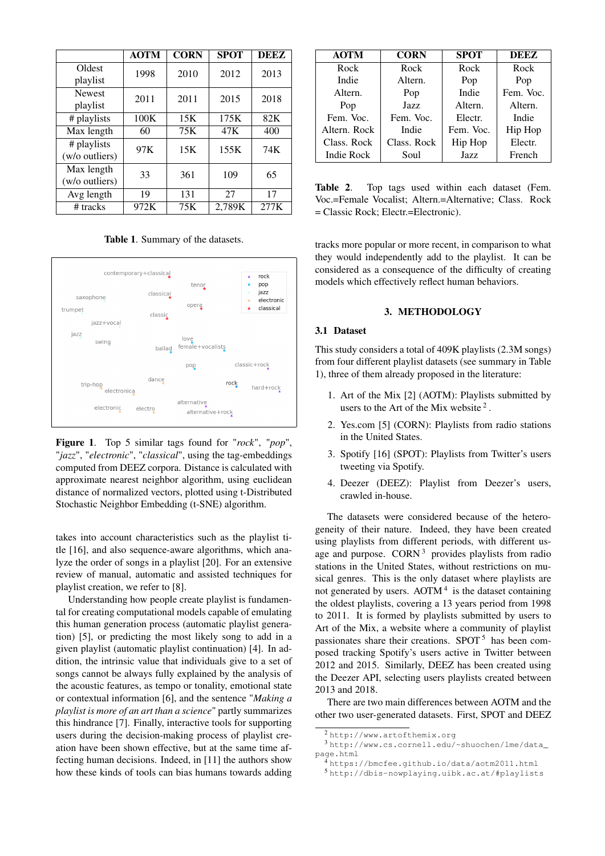|                | <b>AOTM</b> | <b>CORN</b> | <b>SPOT</b> | <b>DEEZ</b> |  |
|----------------|-------------|-------------|-------------|-------------|--|
| Oldest         | 1998        | 2010        | 2012        | 2013        |  |
| playlist       |             |             |             |             |  |
| <b>Newest</b>  | 2011        | 2011        | 2015        | 2018        |  |
| playlist       |             |             |             |             |  |
| # playlists    | 100K        | 15K         | 175K        | 82K         |  |
| Max length     | 60          | 75K         | 47K         | 400         |  |
| # playlists    | 97K         | 15K         | 155K        | 74K         |  |
| (w/o outliers) |             |             |             |             |  |
| Max length     | 33          | 361         | 109         | 65          |  |
| (w/o outliers) |             |             |             |             |  |
| Avg length     | 19          | 131         | 27          | 17          |  |
| $#$ tracks     | 972K        | 75K         | 2.789K      | 277K        |  |

Table 1. Summary of the datasets.



Figure 1. Top 5 similar tags found for "*rock*", "*pop*", "*jazz*", "*electronic*", "*classical*", using the tag-embeddings computed from DEEZ corpora. Distance is calculated with approximate nearest neighbor algorithm, using euclidean distance of normalized vectors, plotted using t-Distributed Stochastic Neighbor Embedding (t-SNE) algorithm.

takes into account characteristics such as the playlist title [16], and also sequence-aware algorithms, which analyze the order of songs in a playlist [20]. For an extensive review of manual, automatic and assisted techniques for playlist creation, we refer to [8].

Understanding how people create playlist is fundamental for creating computational models capable of emulating this human generation process (automatic playlist generation) [5], or predicting the most likely song to add in a given playlist (automatic playlist continuation) [4]. In addition, the intrinsic value that individuals give to a set of songs cannot be always fully explained by the analysis of the acoustic features, as tempo or tonality, emotional state or contextual information [6], and the sentence "*Making a playlist is more of an art than a science*" partly summarizes this hindrance [7]. Finally, interactive tools for supporting users during the decision-making process of playlist creation have been shown effective, but at the same time affecting human decisions. Indeed, in [11] the authors show how these kinds of tools can bias humans towards adding

| <b>AOTM</b>  | <b>CORN</b> | <b>SPOT</b> | <b>DEEZ</b> |  |
|--------------|-------------|-------------|-------------|--|
| Rock         | Rock        | Rock        | Rock        |  |
| Indie        | Altern.     | Pop         | Pop         |  |
| Altern.      | Pop         | Indie       | Fem. Voc.   |  |
| Pop          | Jazz        | Altern.     | Altern.     |  |
| Fem. Voc.    | Fem. Voc.   | Electr.     | Indie       |  |
| Altern. Rock | Indie       | Fem. Voc.   | Hip Hop     |  |
| Class, Rock  | Class. Rock | Hip Hop     | Electr.     |  |
| Indie Rock   | Soul        | Jazz        | French      |  |

Table 2. Top tags used within each dataset (Fem. Voc.=Female Vocalist; Altern.=Alternative; Class. Rock = Classic Rock; Electr.=Electronic).

tracks more popular or more recent, in comparison to what they would independently add to the playlist. It can be considered as a consequence of the difficulty of creating models which effectively reflect human behaviors.

### 3. METHODOLOGY

#### 3.1 Dataset

This study considers a total of 409K playlists (2.3M songs) from four different playlist datasets (see summary in Table 1), three of them already proposed in the literature:

- 1. Art of the Mix [2] (AOTM): Playlists submitted by users to the Art of the Mix website  $2$ .
- 2. Yes.com [5] (CORN): Playlists from radio stations in the United States.
- 3. Spotify [16] (SPOT): Playlists from Twitter's users tweeting via Spotify.
- 4. Deezer (DEEZ): Playlist from Deezer's users, crawled in-house.

The datasets were considered because of the heterogeneity of their nature. Indeed, they have been created using playlists from different periods, with different usage and purpose. CORN<sup>3</sup> provides playlists from radio stations in the United States, without restrictions on musical genres. This is the only dataset where playlists are not generated by users. AOTM $4$  is the dataset containing the oldest playlists, covering a 13 years period from 1998 to 2011. It is formed by playlists submitted by users to Art of the Mix, a website where a community of playlist passionates share their creations. SPOT<sup>5</sup> has been composed tracking Spotify's users active in Twitter between 2012 and 2015. Similarly, DEEZ has been created using the Deezer API, selecting users playlists created between 2013 and 2018.

There are two main differences between AOTM and the other two user-generated datasets. First, SPOT and DEEZ

<sup>2</sup> http://www.artofthemix.org

<sup>3</sup> http://www.cs.cornell.edu/~shuochen/lme/data\_ page.html

<sup>4</sup> https://bmcfee.github.io/data/aotm2011.html

<sup>5</sup> http://dbis-nowplaying.uibk.ac.at/#playlists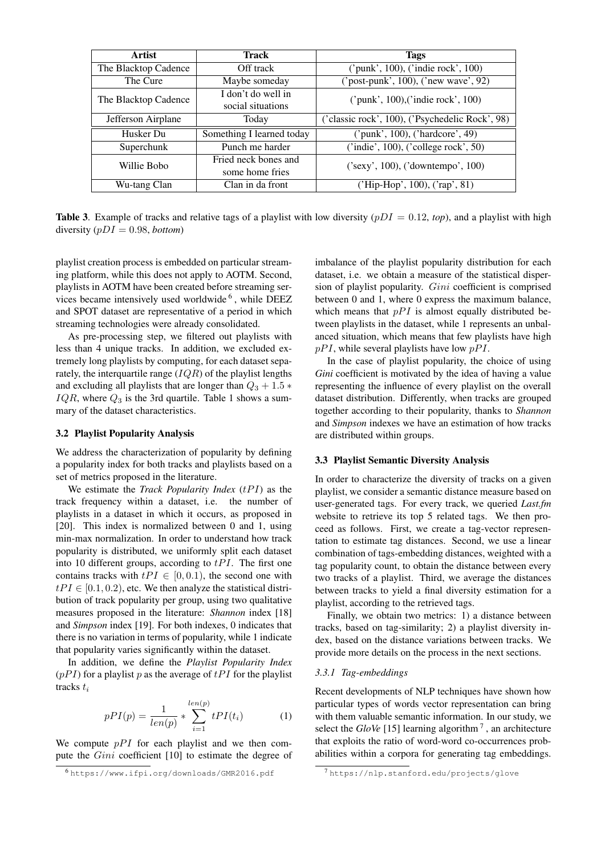| Artist               | Track                     | <b>Tags</b>                                     |  |  |  |  |
|----------------------|---------------------------|-------------------------------------------------|--|--|--|--|
| The Blacktop Cadence | Off track                 | ('punk', 100), ('indie rock', 100)              |  |  |  |  |
| The Cure             | Maybe someday             | ('post-punk', 100), ('new wave', 92)            |  |  |  |  |
| The Blacktop Cadence | I don't do well in        | ('punk', 100), ('indie rock', 100)              |  |  |  |  |
|                      | social situations         |                                                 |  |  |  |  |
| Jefferson Airplane   | Today                     | ('classic rock', 100), ('Psychedelic Rock', 98) |  |  |  |  |
| Husker Du            | Something I learned today | ('punk', 100), ('hardcore', 49)                 |  |  |  |  |
| Superchunk           | Punch me harder           | ('indie', 100), ('college rock', 50)            |  |  |  |  |
| Willie Bobo          | Fried neck bones and      | ('sexy', 100), ('downtempo', 100)               |  |  |  |  |
|                      | some home fries           |                                                 |  |  |  |  |
| Wu-tang Clan         | Clan in da front          | ('Hip-Hop', 100), ('rap', 81)                   |  |  |  |  |

**Table 3.** Example of tracks and relative tags of a playlist with low diversity  $(pDI = 0.12, top)$ , and a playlist with high diversity  $(pDI = 0.98, bottom)$ 

playlist creation process is embedded on particular streaming platform, while this does not apply to AOTM. Second, playlists in AOTM have been created before streaming services became intensively used worldwide<sup>6</sup>, while DEEZ and SPOT dataset are representative of a period in which streaming technologies were already consolidated.

As pre-processing step, we filtered out playlists with less than 4 unique tracks. In addition, we excluded extremely long playlists by computing, for each dataset separately, the interquartile range  $(IQR)$  of the playlist lengths and excluding all playlists that are longer than  $Q_3 + 1.5 *$  $IQR$ , where  $Q_3$  is the 3rd quartile. Table 1 shows a summary of the dataset characteristics.

## 3.2 Playlist Popularity Analysis

We address the characterization of popularity by defining a popularity index for both tracks and playlists based on a set of metrics proposed in the literature.

We estimate the *Track Popularity Index* (tPI) as the track frequency within a dataset, i.e. the number of playlists in a dataset in which it occurs, as proposed in [20]. This index is normalized between 0 and 1, using min-max normalization. In order to understand how track popularity is distributed, we uniformly split each dataset into 10 different groups, according to  $tPI$ . The first one contains tracks with  $tPI \in [0, 0.1)$ , the second one with  $tPI \in [0.1, 0.2)$ , etc. We then analyze the statistical distribution of track popularity per group, using two qualitative measures proposed in the literature: *Shannon* index [18] and *Simpson* index [19]. For both indexes, 0 indicates that there is no variation in terms of popularity, while 1 indicate that popularity varies significantly within the dataset.

In addition, we define the *Playlist Popularity Index*  $(pPI)$  for a playlist p as the average of  $tPI$  for the playlist tracks  $t_i$ 

$$
pPI(p) = \frac{1}{len(p)} * \sum_{i=1}^{len(p)} tPI(t_i)
$$
 (1)

We compute  $pPI$  for each playlist and we then compute the *Gini* coefficient [10] to estimate the degree of imbalance of the playlist popularity distribution for each dataset, i.e. we obtain a measure of the statistical dispersion of playlist popularity. Gini coefficient is comprised between 0 and 1, where 0 express the maximum balance, which means that  $pPI$  is almost equally distributed between playlists in the dataset, while 1 represents an unbalanced situation, which means that few playlists have high  $pPI$ , while several playlists have low  $pPI$ .

In the case of playlist popularity, the choice of using *Gini* coefficient is motivated by the idea of having a value representing the influence of every playlist on the overall dataset distribution. Differently, when tracks are grouped together according to their popularity, thanks to *Shannon* and *Simpson* indexes we have an estimation of how tracks are distributed within groups.

# 3.3 Playlist Semantic Diversity Analysis

In order to characterize the diversity of tracks on a given playlist, we consider a semantic distance measure based on user-generated tags. For every track, we queried *Last.fm* website to retrieve its top 5 related tags. We then proceed as follows. First, we create a tag-vector representation to estimate tag distances. Second, we use a linear combination of tags-embedding distances, weighted with a tag popularity count, to obtain the distance between every two tracks of a playlist. Third, we average the distances between tracks to yield a final diversity estimation for a playlist, according to the retrieved tags.

Finally, we obtain two metrics: 1) a distance between tracks, based on tag-similarity; 2) a playlist diversity index, based on the distance variations between tracks. We provide more details on the process in the next sections.

#### *3.3.1 Tag-embeddings*

Recent developments of NLP techniques have shown how particular types of words vector representation can bring with them valuable semantic information. In our study, we select the  $GloVe$  [15] learning algorithm<sup>7</sup>, an architecture that exploits the ratio of word-word co-occurrences probabilities within a corpora for generating tag embeddings.

<sup>6</sup> https://www.ifpi.org/downloads/GMR2016.pdf

<sup>7</sup> https://nlp.stanford.edu/projects/glove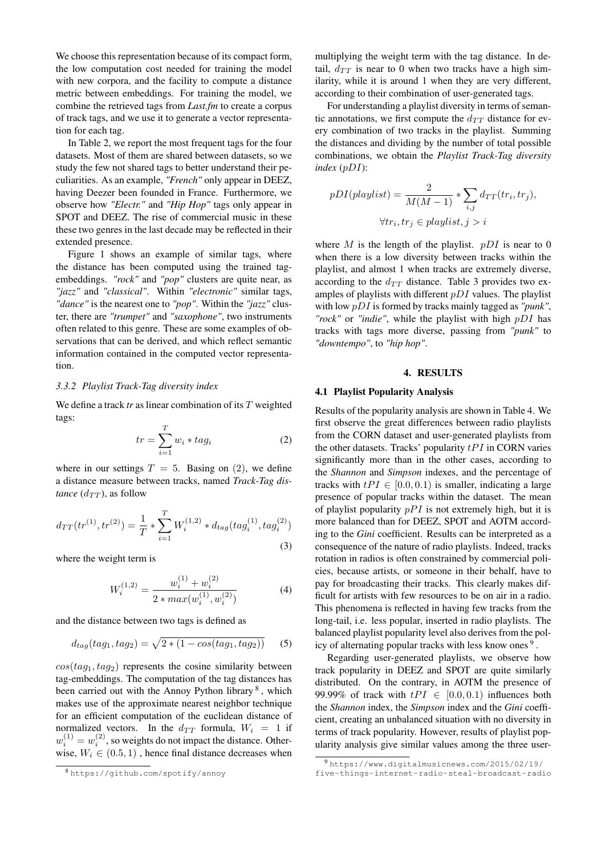We choose this representation because of its compact form, the low computation cost needed for training the model with new corpora, and the facility to compute a distance metric between embeddings. For training the model, we combine the retrieved tags from *Last.fm* to create a corpus of track tags, and we use it to generate a vector representation for each tag.

In Table 2, we report the most frequent tags for the four datasets. Most of them are shared between datasets, so we study the few not shared tags to better understand their peculiarities. As an example, *"French"* only appear in DEEZ, having Deezer been founded in France. Furthermore, we observe how *"Electr."* and *"Hip Hop"* tags only appear in SPOT and DEEZ. The rise of commercial music in these these two genres in the last decade may be reflected in their extended presence.

Figure 1 shows an example of similar tags, where the distance has been computed using the trained tagembeddings. *"rock"* and *"pop"* clusters are quite near, as *"jazz"* and *"classical"*. Within *"electronic"* similar tags, *"dance"* is the nearest one to *"pop"*. Within the *"jazz"* cluster, there are *"trumpet"* and *"saxophone"*, two instruments often related to this genre. These are some examples of observations that can be derived, and which reflect semantic information contained in the computed vector representation.

#### *3.3.2 Playlist Track-Tag diversity index*

We define a track *tr* as linear combination of its T weighted tags:

$$
tr = \sum_{i=1}^{T} w_i * tag_i
$$
 (2)

where in our settings  $T = 5$ . Basing on (2), we define a distance measure between tracks, named *Track-Tag distance*  $(d_{TT})$ , as follow

$$
d_{TT}(tr^{(1)}, tr^{(2)}) = \frac{1}{T} * \sum_{i=1}^{T} W_i^{(1,2)} * d_{tag}(tag_i^{(1)}, tag_i^{(2)})
$$
\n(3)

where the weight term is

$$
W_i^{(1,2)} = \frac{w_i^{(1)} + w_i^{(2)}}{2 * max(w_i^{(1)}, w_i^{(2)})}
$$
(4)

and the distance between two tags is defined as

$$
d_{tag}(tag_1,tag_2) = \sqrt{2 * (1 - \cos(\log_1, \log_2))}
$$
 (5)

 $cos(tag_1, tag_2)$  represents the cosine similarity between tag-embeddings. The computation of the tag distances has been carried out with the Annoy Python library<sup>8</sup>, which makes use of the approximate nearest neighbor technique for an efficient computation of the euclidean distance of normalized vectors. In the  $d_{TT}$  formula,  $W_i = 1$  if  $w_i^{(1)} = w_i^{(2)}$ , so weights do not impact the distance. Otherwise,  $W_i \in (0.5, 1)$ , hence final distance decreases when multiplying the weight term with the tag distance. In detail,  $d_{TT}$  is near to 0 when two tracks have a high similarity, while it is around 1 when they are very different, according to their combination of user-generated tags.

For understanding a playlist diversity in terms of semantic annotations, we first compute the  $d_{TT}$  distance for every combination of two tracks in the playlist. Summing the distances and dividing by the number of total possible combinations, we obtain the *Playlist Track-Tag diversity index* (pDI):

$$
pDI(playlist) = \frac{2}{M(M-1)} * \sum_{i,j} d_{TT}(tr_i, tr_j),
$$
  

$$
\forall tr_i, tr_j \in playlist, j > i
$$

where M is the length of the playlist.  $pDI$  is near to 0 when there is a low diversity between tracks within the playlist, and almost 1 when tracks are extremely diverse, according to the  $d_{TT}$  distance. Table 3 provides two examples of playlists with different  $pDI$  values. The playlist with low pDI is formed by tracks mainly tagged as *"punk"*, *"rock"* or *"indie"*, while the playlist with high pDI has tracks with tags more diverse, passing from *"punk"* to *"downtempo"*, to *"hip hop"*.

#### 4. RESULTS

#### 4.1 Playlist Popularity Analysis

Results of the popularity analysis are shown in Table 4. We first observe the great differences between radio playlists from the CORN dataset and user-generated playlists from the other datasets. Tracks' popularity  $tPI$  in CORN varies significantly more than in the other cases, according to the *Shannon* and *Simpson* indexes, and the percentage of tracks with  $tPI \in [0.0, 0.1)$  is smaller, indicating a large presence of popular tracks within the dataset. The mean of playlist popularity  $pPI$  is not extremely high, but it is more balanced than for DEEZ, SPOT and AOTM according to the *Gini* coefficient. Results can be interpreted as a consequence of the nature of radio playlists. Indeed, tracks rotation in radios is often constrained by commercial policies, because artists, or someone in their behalf, have to pay for broadcasting their tracks. This clearly makes difficult for artists with few resources to be on air in a radio. This phenomena is reflected in having few tracks from the long-tail, i.e. less popular, inserted in radio playlists. The balanced playlist popularity level also derives from the policy of alternating popular tracks with less know ones<sup>9</sup>.

Regarding user-generated playlists, we observe how track popularity in DEEZ and SPOT are quite similarly distributed. On the contrary, in AOTM the presence of 99.99% of track with  $tPI \in [0.0, 0.1)$  influences both the *Shannon* index, the *Simpson* index and the *Gini* coefficient, creating an unbalanced situation with no diversity in terms of track popularity. However, results of playlist popularity analysis give similar values among the three user-

<sup>8</sup> https://github.com/spotify/annoy

<sup>9</sup> https://www.digitalmusicnews.com/2015/02/19/

five-things-internet-radio-steal-broadcast-radio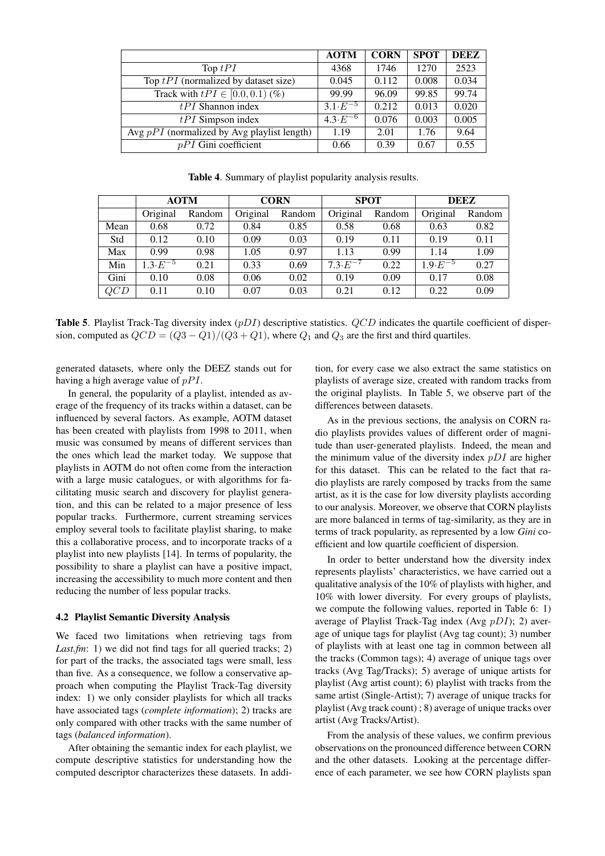|                                               | <b>AOTM</b>                   | <b>CORN</b> | <b>SPOT</b> | <b>DEEZ</b> |
|-----------------------------------------------|-------------------------------|-------------|-------------|-------------|
| Top $tPI$                                     | 4368                          | 1746        | 1270        | 2523        |
| Top $tPI$ (normalized by dataset size)        | 0.045                         | 0.112       | 0.008       | 0.034       |
| Track with $tPI \in [0.0, 0.1)$ (%)           | 99.99                         | 96.09       | 99.85       | 99.74       |
| $tPI$ Shannon index                           | $3.\overline{1 \cdot E^{-5}}$ | 0.212       | 0.013       | 0.020       |
| $tPI$ Simpson index                           | $4.3 \cdot E^{-6}$            | 0.076       | 0.003       | 0.005       |
| Avg $pPI$ (normalized by Avg playlist length) | 1.19                          | 2.01        | 1.76        | 9.64        |
| $pPI$ Gini coefficient                        | 0.66                          | 0.39        | 0.67        | 0.55        |

Table 4. Summary of playlist popularity analysis results.

|      | <b>AOTM</b>        |        |                    | <b>CORN</b> |                    | <b>SPOT</b> | <b>DEEZ</b>        |        |  |
|------|--------------------|--------|--------------------|-------------|--------------------|-------------|--------------------|--------|--|
|      | Original           | Random | Original<br>Random |             | Original           | Random      | Original           | Random |  |
| Mean | 0.68               | 0.72   | 0.84               | 0.85        | 0.58               | 0.68        | 0.63               | 0.82   |  |
| Std  | 0.12               | 0.10   | 0.09               | 0.03        | 0.19               | 0.11        | 0.19               | 0.11   |  |
| Max  | 0.99               | 0.98   | 1.05               | 0.97        | 1.13               | 0.99        | 1.14               | 1.09   |  |
| Min  | $1.3 \cdot E^{-5}$ | 0.21   | 0.33               | 0.69        | $7.3 \cdot E^{-7}$ | 0.22        | $1.9 \cdot E^{-5}$ | 0.27   |  |
| Gini | 0.10               | 0.08   | 0.06               | 0.02        | 0.19               | 0.09        | 0.17               | 0.08   |  |
| QCD  | 0.11               | 0.10   | 0.07               | 0.03        | 0.21               | 0.12        | 0.22               | 0.09   |  |

**Table 5.** Playlist Track-Tag diversity index  $(pDI)$  descriptive statistics.  $QCD$  indicates the quartile coefficient of dispersion, computed as  $QCD = (Q3 - Q1)/(Q3 + Q1)$ , where  $Q_1$  and  $Q_3$  are the first and third quartiles.

generated datasets, where only the DEEZ stands out for having a high average value of  $pPI$ .

In general, the popularity of a playlist, intended as average of the frequency of its tracks within a dataset, can be influenced by several factors. As example, AOTM dataset has been created with playlists from 1998 to 2011, when music was consumed by means of different services than the ones which lead the market today. We suppose that playlists in AOTM do not often come from the interaction with a large music catalogues, or with algorithms for facilitating music search and discovery for playlist generation, and this can be related to a major presence of less popular tracks. Furthermore, current streaming services employ several tools to facilitate playlist sharing, to make this a collaborative process, and to incorporate tracks of a playlist into new playlists [14]. In terms of popularity, the possibility to share a playlist can have a positive impact, increasing the accessibility to much more content and then reducing the number of less popular tracks.

# 4.2 Playlist Semantic Diversity Analysis

We faced two limitations when retrieving tags from Last.fm: 1) we did not find tags for all queried tracks; 2) for part of the tracks, the associated tags were small, less than five. As a consequence, we follow a conservative approach when computing the Playlist Track-Tag diversity index: 1) we only consider playlists for which all tracks have associated tags (*complete information*); 2) tracks are only compared with other tracks with the same number of tags (*balanced information*).

After obtaining the semantic index for each playlist, we compute descriptive statistics for understanding how the computed descriptor characterizes these datasets. In addition, for every case we also extract the same statistics on playlists of average size, created with random tracks from the original playlists. In Table 5, we observe part of the differences between datasets.

As in the previous sections, the analysis on CORN radio playlists provides values of different order of magnitude than user-generated playlists. Indeed, the mean and the minimum value of the diversity index  $pDI$  are higher for this dataset. This can be related to the fact that radio playlists are rarely composed by tracks from the same artist, as it is the case for low diversity playlists according to our analysis. Moreover, we observe that CORN playlists are more balanced in terms of tag-similarity, as they are in terms of track popularity, as represented by a low *Gini* coefficient and low quartile coefficient of dispersion.

In order to better understand how the diversity index represents playlists' characteristics, we have carried out a qualitative analysis of the 10% of playlists with higher, and 10% with lower diversity. For every groups of playlists, we compute the following values, reported in Table 6: 1) average of Playlist Track-Tag index (Avg  $pDI$ ); 2) average of unique tags for playlist (Avg tag count); 3) number of playlists with at least one tag in common between all the tracks (Common tags); 4) average of unique tags over tracks (Avg Tag/Tracks); 5) average of unique artists for playlist (Avg artist count); 6) playlist with tracks from the same artist (Single-Artist); 7) average of unique tracks for playlist (Avg track count) ; 8) average of unique tracks over artist (Avg Tracks/Artist).

From the analysis of these values, we confirm previous observations on the pronounced difference between CORN and the other datasets. Looking at the percentage difference of each parameter, we see how CORN playlists span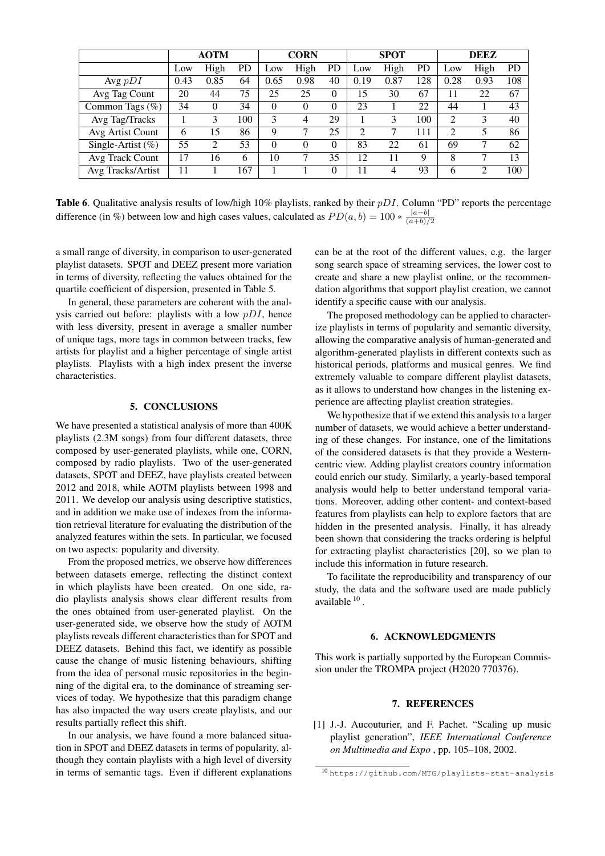|                      | <b>AOTM</b> |                |     | <b>CORN</b> |          |           | <b>SPOT</b>                 |      |           | DEEZ           |      |           |
|----------------------|-------------|----------------|-----|-------------|----------|-----------|-----------------------------|------|-----------|----------------|------|-----------|
|                      | Low         | High           | PD  | Low         | High     | <b>PD</b> | Low                         | High | <b>PD</b> | Low            | High | <b>PD</b> |
| Avg $pDI$            | 0.43        | 0.85           | 64  | 0.65        | 0.98     | 40        | 0.19                        | 0.87 | 128       | 0.28           | 0.93 | 108       |
| Avg Tag Count        | 20          | 44             | 75  | 25          | 25       | $\theta$  | 15                          | 30   | 67        | 11             | 22   | 67        |
| Common Tags (%)      | 34          | $\Omega$       | 34  | $\theta$    | 0        | $\theta$  | 23                          |      | 22        | 44             |      | 43        |
| Avg Tag/Tracks       |             | 3              | 100 | 3           | 4        | 29        |                             | 3    | 100       | $\overline{2}$ | 3    | 40        |
| Avg Artist Count     | 6           | 15             | 86  | 9           |          | 25        | $\mathcal{D}_{\mathcal{L}}$ | ┑    | 111       | $\overline{2}$ | 5    | 86        |
| Single-Artist $(\%)$ | 55          | $\mathfrak{D}$ | 53  | $\theta$    | $\Omega$ | $\theta$  | 83                          | 22   | 61        | 69             |      | 62        |
| Avg Track Count      | 17          | 16             | 6   | 10          | ┑        | 35        | 12                          | 11   | 9         | 8              | ┑    | 13        |
| Avg Tracks/Artist    | 11          |                | 167 |             |          | $\theta$  | 11                          | 4    | 93        | 6              | っ    | 100       |

**Table 6.** Qualitative analysis results of low/high 10% playlists, ranked by their  $pDI$ . Column "PD" reports the percentage difference (in %) between low and high cases values, calculated as  $PD(a, b) = 100 * \frac{|a-b|}{(a+b)}$  $(a+b)/2$ 

a small range of diversity, in comparison to user-generated playlist datasets. SPOT and DEEZ present more variation in terms of diversity, reflecting the values obtained for the quartile coefficient of dispersion, presented in Table 5.

In general, these parameters are coherent with the analysis carried out before: playlists with a low  $pDI$ , hence with less diversity, present in average a smaller number of unique tags, more tags in common between tracks, few artists for playlist and a higher percentage of single artist playlists. Playlists with a high index present the inverse characteristics.

## 5. CONCLUSIONS

We have presented a statistical analysis of more than 400K playlists (2.3M songs) from four different datasets, three composed by user-generated playlists, while one, CORN, composed by radio playlists. Two of the user-generated datasets, SPOT and DEEZ, have playlists created between 2012 and 2018, while AOTM playlists between 1998 and 2011. We develop our analysis using descriptive statistics, and in addition we make use of indexes from the information retrieval literature for evaluating the distribution of the analyzed features within the sets. In particular, we focused on two aspects: popularity and diversity.

From the proposed metrics, we observe how differences between datasets emerge, reflecting the distinct context in which playlists have been created. On one side, radio playlists analysis shows clear different results from the ones obtained from user-generated playlist. On the user-generated side, we observe how the study of AOTM playlists reveals different characteristics than for SPOT and DEEZ datasets. Behind this fact, we identify as possible cause the change of music listening behaviours, shifting from the idea of personal music repositories in the beginning of the digital era, to the dominance of streaming services of today. We hypothesize that this paradigm change has also impacted the way users create playlists, and our results partially reflect this shift.

In our analysis, we have found a more balanced situation in SPOT and DEEZ datasets in terms of popularity, although they contain playlists with a high level of diversity in terms of semantic tags. Even if different explanations

can be at the root of the different values, e.g. the larger song search space of streaming services, the lower cost to create and share a new playlist online, or the recommendation algorithms that support playlist creation, we cannot identify a specific cause with our analysis.

The proposed methodology can be applied to characterize playlists in terms of popularity and semantic diversity, allowing the comparative analysis of human-generated and algorithm-generated playlists in different contexts such as historical periods, platforms and musical genres. We find extremely valuable to compare different playlist datasets, as it allows to understand how changes in the listening experience are affecting playlist creation strategies.

We hypothesize that if we extend this analysis to a larger number of datasets, we would achieve a better understanding of these changes. For instance, one of the limitations of the considered datasets is that they provide a Westerncentric view. Adding playlist creators country information could enrich our study. Similarly, a yearly-based temporal analysis would help to better understand temporal variations. Moreover, adding other content- and context-based features from playlists can help to explore factors that are hidden in the presented analysis. Finally, it has already been shown that considering the tracks ordering is helpful for extracting playlist characteristics [20], so we plan to include this information in future research.

To facilitate the reproducibility and transparency of our study, the data and the software used are made publicly available <sup>10</sup>.

#### 6. ACKNOWLEDGMENTS

This work is partially supported by the European Commission under the TROMPA project (H2020 770376).

#### 7. REFERENCES

[1] J.-J. Aucouturier, and F. Pachet. "Scaling up music playlist generation", *IEEE International Conference on Multimedia and Expo* , pp. 105–108, 2002.

<sup>10</sup> https://github.com/MTG/playlists-stat-analysis